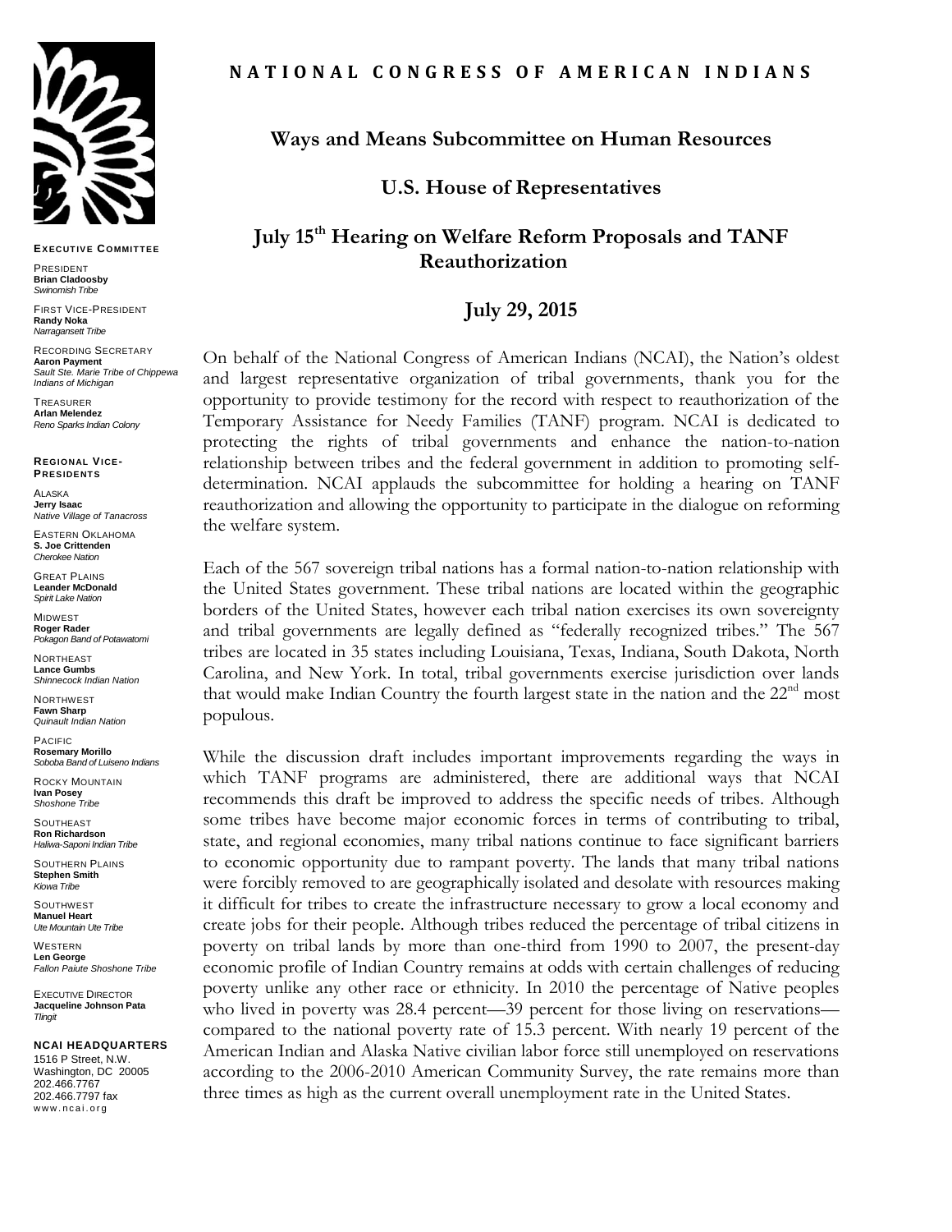

**EXECUT IVE COMMIT TEE**

PRESIDENT **Brian Cladoosby** *Swinomish Tribe*

FIRST VICE-PRESIDENT **Randy Noka** *Narragansett Tribe*

RECORDING SECRETARY **Aaron Payment** *Sault Ste. Marie Tribe of Chippewa Indians of Michigan*

**TREASURER Arlan Melendez** *Reno Sparks Indian Colony*

**REGIONAL VICE-PRESIDENT S**

ALASKA **Jerry Isaac** *Native Village of Tanacross*

EASTERN OKLAHOMA **S. Joe Crittenden** *Cherokee Nation*

GREAT PLAINS **Leander McDonald** *Spirit Lake Nation*

MIDWEST **Roger Rader** *Pokagon Band of Potawatomi* 

NORTHEAST **Lance Gumbs** *Shinnecock Indian Nation*

**NORTHWEST Fawn Sharp** *Quinault Indian Nation*

PACIFIC **Rosemary Morillo** *Soboba Band of Luiseno Indians*

ROCKY MOUNTAIN **Ivan Posey** *Shoshone Tribe*

SOUTHEAST **Ron Richardson** *Haliwa-Saponi Indian Tribe*

SOUTHERN PLAINS **Stephen Smith** *Kiowa Tribe*

**SOUTHWEST Manuel Heart** *Ute Mountain Ute Tribe*

**WESTERN Len George** *Fallon Paiute Shoshone Tribe*

EXECUTIVE DIRECTOR **Jacqueline Johnson Pata** *Tlingit*

**NCAI HEADQUARTERS**

1516 P Street, N.W. Washington, DC 20005 202.466.7767 202.466.7797 fax www.ncai.org

# **Ways and Means Subcommittee on Human Resources**

**U.S. House of Representatives** 

### **July 15th Hearing on Welfare Reform Proposals and TANF Reauthorization**

# **July 29, 2015**

On behalf of the National Congress of American Indians (NCAI), the Nation's oldest and largest representative organization of tribal governments, thank you for the opportunity to provide testimony for the record with respect to reauthorization of the Temporary Assistance for Needy Families (TANF) program. NCAI is dedicated to protecting the rights of tribal governments and enhance the nation-to-nation relationship between tribes and the federal government in addition to promoting selfdetermination. NCAI applauds the subcommittee for holding a hearing on TANF reauthorization and allowing the opportunity to participate in the dialogue on reforming the welfare system.

Each of the 567 sovereign tribal nations has a formal nation-to-nation relationship with the United States government. These tribal nations are located within the geographic borders of the United States, however each tribal nation exercises its own sovereignty and tribal governments are legally defined as "federally recognized tribes." The 567 tribes are located in 35 states including Louisiana, Texas, Indiana, South Dakota, North Carolina, and New York. In total, tribal governments exercise jurisdiction over lands that would make Indian Country the fourth largest state in the nation and the  $22<sup>nd</sup>$  most populous.

While the discussion draft includes important improvements regarding the ways in which TANF programs are administered, there are additional ways that NCAI recommends this draft be improved to address the specific needs of tribes. Although some tribes have become major economic forces in terms of contributing to tribal, state, and regional economies, many tribal nations continue to face significant barriers to economic opportunity due to rampant poverty. The lands that many tribal nations were forcibly removed to are geographically isolated and desolate with resources making it difficult for tribes to create the infrastructure necessary to grow a local economy and create jobs for their people. Although tribes reduced the percentage of tribal citizens in poverty on tribal lands by more than one-third from 1990 to 2007, the present-day economic profile of Indian Country remains at odds with certain challenges of reducing poverty unlike any other race or ethnicity. In 2010 the percentage of Native peoples who lived in poverty was 28.4 percent—39 percent for those living on reservations compared to the national poverty rate of 15.3 percent. With nearly 19 percent of the American Indian and Alaska Native civilian labor force still unemployed on reservations according to the 2006-2010 American Community Survey, the rate remains more than three times as high as the current overall unemployment rate in the United States.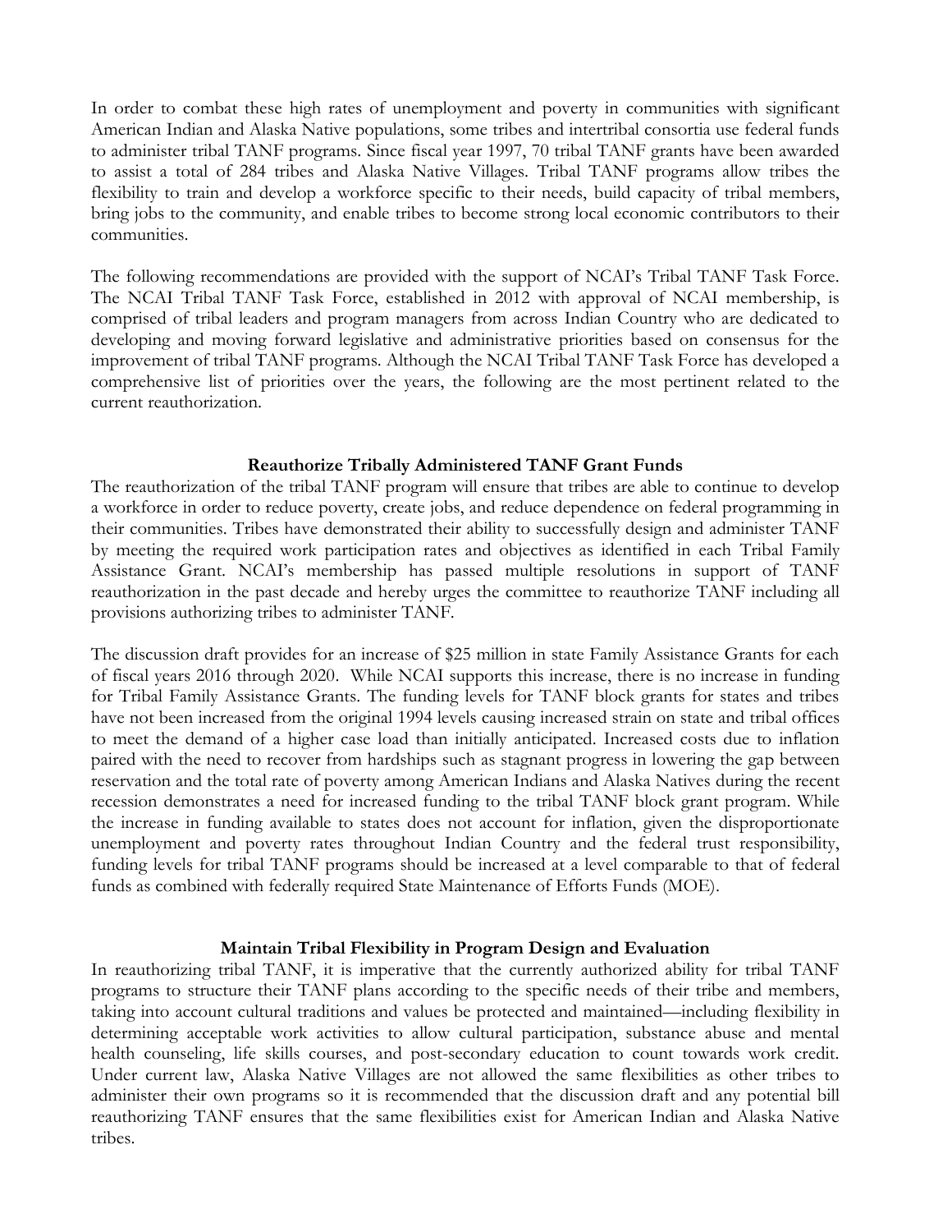In order to combat these high rates of unemployment and poverty in communities with significant American Indian and Alaska Native populations, some tribes and intertribal consortia use federal funds to administer tribal TANF programs. Since fiscal year 1997, 70 tribal TANF grants have been awarded to assist a total of 284 tribes and Alaska Native Villages. Tribal TANF programs allow tribes the flexibility to train and develop a workforce specific to their needs, build capacity of tribal members, bring jobs to the community, and enable tribes to become strong local economic contributors to their communities.

The following recommendations are provided with the support of NCAI's Tribal TANF Task Force. The NCAI Tribal TANF Task Force, established in 2012 with approval of NCAI membership, is comprised of tribal leaders and program managers from across Indian Country who are dedicated to developing and moving forward legislative and administrative priorities based on consensus for the improvement of tribal TANF programs. Although the NCAI Tribal TANF Task Force has developed a comprehensive list of priorities over the years, the following are the most pertinent related to the current reauthorization.

#### **Reauthorize Tribally Administered TANF Grant Funds**

The reauthorization of the tribal TANF program will ensure that tribes are able to continue to develop a workforce in order to reduce poverty, create jobs, and reduce dependence on federal programming in their communities. Tribes have demonstrated their ability to successfully design and administer TANF by meeting the required work participation rates and objectives as identified in each Tribal Family Assistance Grant. NCAI's membership has passed multiple resolutions in support of TANF reauthorization in the past decade and hereby urges the committee to reauthorize TANF including all provisions authorizing tribes to administer TANF.

The discussion draft provides for an increase of \$25 million in state Family Assistance Grants for each of fiscal years 2016 through 2020. While NCAI supports this increase, there is no increase in funding for Tribal Family Assistance Grants. The funding levels for TANF block grants for states and tribes have not been increased from the original 1994 levels causing increased strain on state and tribal offices to meet the demand of a higher case load than initially anticipated. Increased costs due to inflation paired with the need to recover from hardships such as stagnant progress in lowering the gap between reservation and the total rate of poverty among American Indians and Alaska Natives during the recent recession demonstrates a need for increased funding to the tribal TANF block grant program. While the increase in funding available to states does not account for inflation, given the disproportionate unemployment and poverty rates throughout Indian Country and the federal trust responsibility, funding levels for tribal TANF programs should be increased at a level comparable to that of federal funds as combined with federally required State Maintenance of Efforts Funds (MOE).

### **Maintain Tribal Flexibility in Program Design and Evaluation**

In reauthorizing tribal TANF, it is imperative that the currently authorized ability for tribal TANF programs to structure their TANF plans according to the specific needs of their tribe and members, taking into account cultural traditions and values be protected and maintained—including flexibility in determining acceptable work activities to allow cultural participation, substance abuse and mental health counseling, life skills courses, and post-secondary education to count towards work credit. Under current law, Alaska Native Villages are not allowed the same flexibilities as other tribes to administer their own programs so it is recommended that the discussion draft and any potential bill reauthorizing TANF ensures that the same flexibilities exist for American Indian and Alaska Native tribes.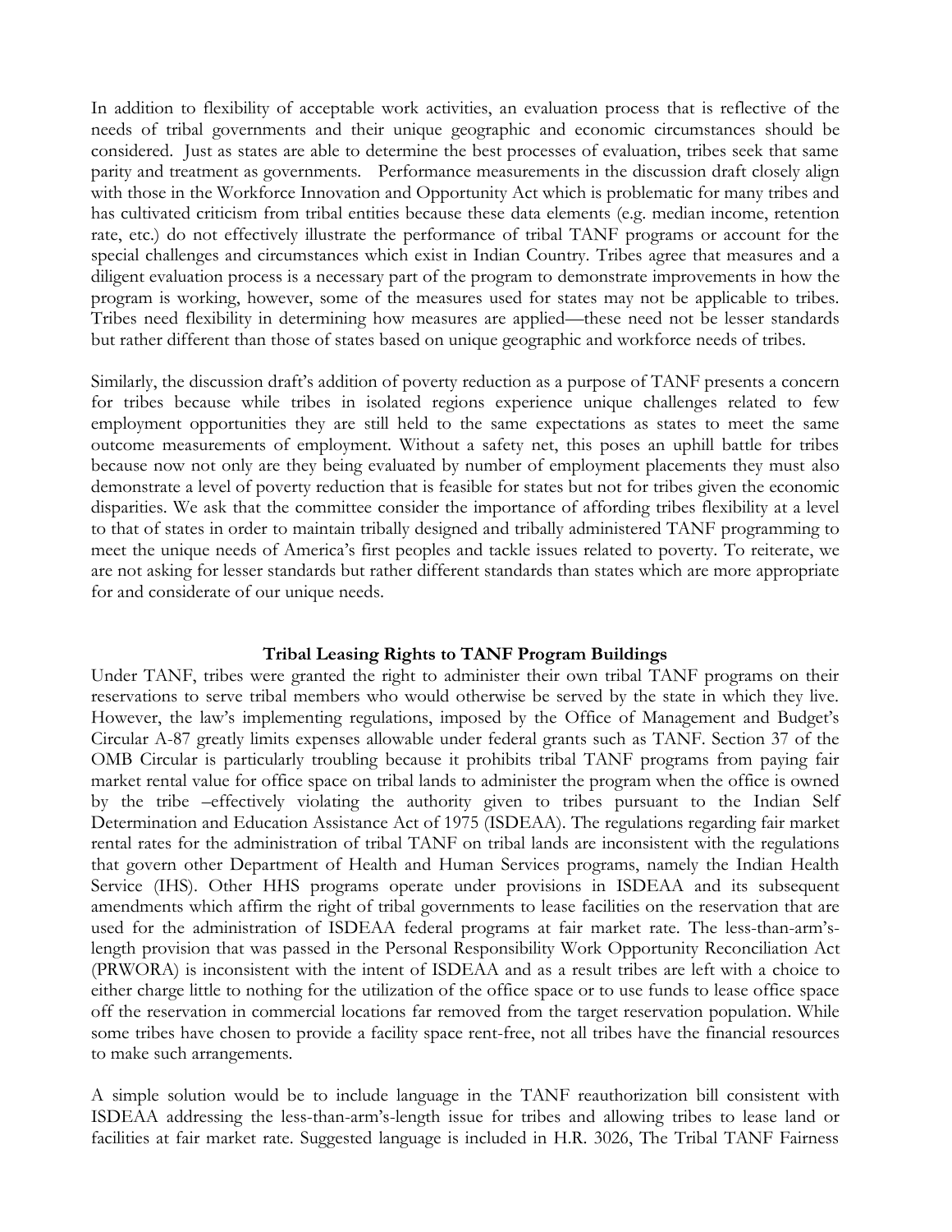In addition to flexibility of acceptable work activities, an evaluation process that is reflective of the needs of tribal governments and their unique geographic and economic circumstances should be considered. Just as states are able to determine the best processes of evaluation, tribes seek that same parity and treatment as governments. Performance measurements in the discussion draft closely align with those in the Workforce Innovation and Opportunity Act which is problematic for many tribes and has cultivated criticism from tribal entities because these data elements (e.g. median income, retention rate, etc.) do not effectively illustrate the performance of tribal TANF programs or account for the special challenges and circumstances which exist in Indian Country. Tribes agree that measures and a diligent evaluation process is a necessary part of the program to demonstrate improvements in how the program is working, however, some of the measures used for states may not be applicable to tribes. Tribes need flexibility in determining how measures are applied—these need not be lesser standards but rather different than those of states based on unique geographic and workforce needs of tribes.

Similarly, the discussion draft's addition of poverty reduction as a purpose of TANF presents a concern for tribes because while tribes in isolated regions experience unique challenges related to few employment opportunities they are still held to the same expectations as states to meet the same outcome measurements of employment. Without a safety net, this poses an uphill battle for tribes because now not only are they being evaluated by number of employment placements they must also demonstrate a level of poverty reduction that is feasible for states but not for tribes given the economic disparities. We ask that the committee consider the importance of affording tribes flexibility at a level to that of states in order to maintain tribally designed and tribally administered TANF programming to meet the unique needs of America's first peoples and tackle issues related to poverty. To reiterate, we are not asking for lesser standards but rather different standards than states which are more appropriate for and considerate of our unique needs.

### **Tribal Leasing Rights to TANF Program Buildings**

Under TANF, tribes were granted the right to administer their own tribal TANF programs on their reservations to serve tribal members who would otherwise be served by the state in which they live. However, the law's implementing regulations, imposed by the Office of Management and Budget's Circular A-87 greatly limits expenses allowable under federal grants such as TANF. Section 37 of the OMB Circular is particularly troubling because it prohibits tribal TANF programs from paying fair market rental value for office space on tribal lands to administer the program when the office is owned by the tribe –effectively violating the authority given to tribes pursuant to the Indian Self Determination and Education Assistance Act of 1975 (ISDEAA). The regulations regarding fair market rental rates for the administration of tribal TANF on tribal lands are inconsistent with the regulations that govern other Department of Health and Human Services programs, namely the Indian Health Service (IHS). Other HHS programs operate under provisions in ISDEAA and its subsequent amendments which affirm the right of tribal governments to lease facilities on the reservation that are used for the administration of ISDEAA federal programs at fair market rate. The less-than-arm'slength provision that was passed in the Personal Responsibility Work Opportunity Reconciliation Act (PRWORA) is inconsistent with the intent of ISDEAA and as a result tribes are left with a choice to either charge little to nothing for the utilization of the office space or to use funds to lease office space off the reservation in commercial locations far removed from the target reservation population. While some tribes have chosen to provide a facility space rent-free, not all tribes have the financial resources to make such arrangements.

A simple solution would be to include language in the TANF reauthorization bill consistent with ISDEAA addressing the less-than-arm's-length issue for tribes and allowing tribes to lease land or facilities at fair market rate. Suggested language is included in H.R. 3026, The Tribal TANF Fairness